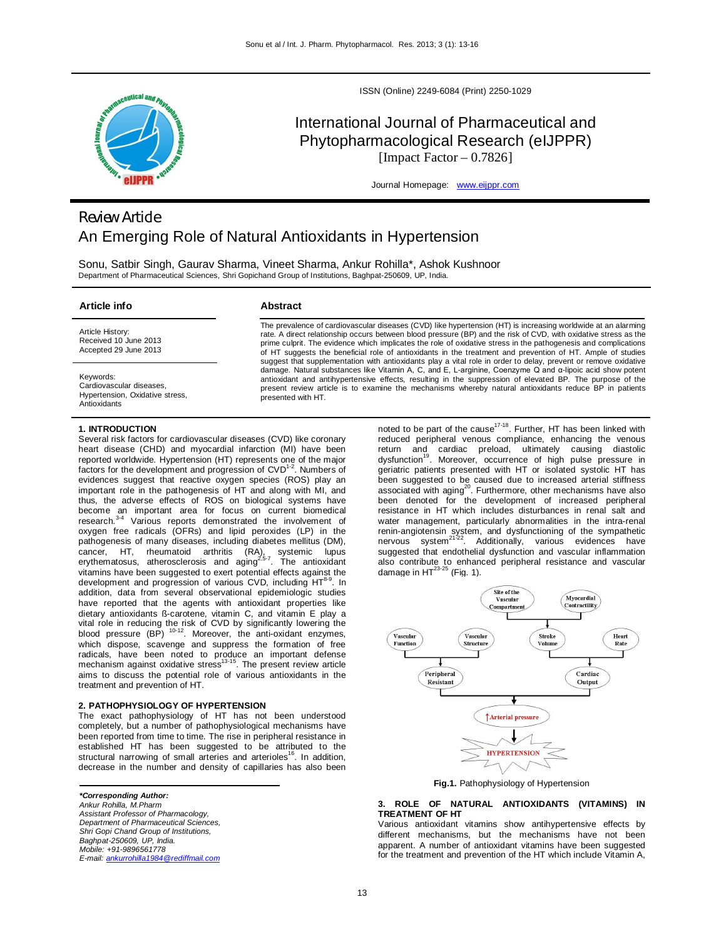

ISSN (Online) 2249-6084 (Print) 2250-1029

# International Journal of Pharmaceutical and Phytopharmacological Research (eIJPPR) [Impact Factor  $-0.7826$ ]

Journal Homepage: www.eijppr.com

# *Review Article* An Emerging Role of Natural Antioxidants in Hypertension

Sonu, Satbir Singh, Gaurav Sharma, Vineet Sharma, Ankur Rohilla\*, Ashok Kushnoor Department of Pharmaceutical Sciences, Shri Gopichand Group of Institutions, Baghpat-250609, UP, India.

### **Article info**

Article History: Received 10 June 2013

# **Abstract**

The prevalence of cardiovascular diseases (CVD) like hypertension (HT) is increasing worldwide at an alarming rate. A direct relationship occurs between blood pressure (BP) and the risk of CVD, with oxidative stress as the prime culprit. The evidence which implicates the role of oxidative stress in the pathogenesis and complications of HT suggests the beneficial role of antioxidants in the treatment and prevention of HT. Ample of studies suggest that supplementation with antioxidants play a vital role in order to delay, prevent or remove oxidative damage. Natural substances like Vitamin A, C, and E, L-arginine, Coenzyme Q and α-lipoic acid show potent antioxidant and antihypertensive effects, resulting in the suppression of elevated BP. The purpose of the present review article is to examine the mechanisms whereby natural antioxidants reduce BP in patients presented with HT.

Keywords:

Cardiovascular diseases, Hypertension, Oxidative stress, Antioxidants

## **1. INTRODUCTION**

Accepted 29 June 2013

Several risk factors for cardiovascular diseases (CVD) like coronary heart disease (CHD) and myocardial infarction (MI) have been reported worldwide. Hypertension (HT) represents one of the major factors for the development and progression of  $CVD^{1-2}$ . Numbers of evidences suggest that reactive oxygen species (ROS) play an important role in the pathogenesis of HT and along with MI, and thus, the adverse effects of ROS on biological systems have become an important area for focus on current biomedical<br>research.<sup>3-4</sup> Various reports demonstrated the involvement of oxygen free radicals (OFRs) and lipid peroxides (LP) in the pathogenesis of many diseases, including diabetes mellitus (DM), cancer, HT, rheumatoid arthritis (RA), systemic lupus<br>erythematosus, atherosclerosis and aging<sup>2,5-7</sup>. The antioxidant vitamins have been suggested to exert potential effects against the development and progression of various CVD, including HT<sup>8-9</sup>  $^{\circ}$ . In addition, data from several observational epidemiologic studies have reported that the agents with antioxidant properties like dietary antioxidants ß-carotene, vitamin C, and vitamin E play a vital role in reducing the risk of CVD by significantly lowering the blood pressure (BP) <sup>10-12</sup>. Moreover, the anti-oxidant enzymes, which dispose, scavenge and suppress the formation of free radicals, have been noted to produce an important defense<br>mechanism against oxidative stress<sup>13-15</sup>. The present review article aims to discuss the potential role of various antioxidants in the treatment and prevention of HT.

# **2. PATHOPHYSIOLOGY OF HYPERTENSION**

The exact pathophysiology of HT has not been understood completely, but a number of pathophysiological mechanisms have been reported from time to time. The rise in peripheral resistance in established HT has been suggested to be attributed to the structural narrowing of small arteries and arterioles<sup>16</sup>. In addition, decrease in the number and density of capillaries has also been

*\*Corresponding Author: Ankur Rohilla, M.Pharm Assistant Professor of Pharmacology, Department of Pharmaceutical Sciences, Shri Gopi Chand Group of Institutions, Baghpat-250609, UP, India. Mobile: +91-9896561778 E-mail: ankurrohilla1984@rediffmail.com*

noted to be part of the cause<sup>17-18</sup>. Further, HT has been linked with reduced peripheral venous compliance, enhancing the venous return and cardiac preload, ultimately causing diastolic<br>dysfunction<sup>19</sup>. Moreover, occurrence of high pulse pressure in geriatric patients presented with HT or isolated systolic HT has been suggested to be caused due to increased arterial stiffness associated with aging<sup>20</sup>. Furthermore, other mechanisms have also been denoted for the development of increased peripheral resistance in HT which includes disturbances in renal salt and water management, particularly abnormalities in the intra-renal renin-angiotensin system, and dysfunctioning of the sympathetic<br>nervous system<sup>21-22</sup>. Additionally, various evidences have suggested that endothelial dysfunction and vascular inflammation also contribute to enhanced peripheral resistance and vascular<br>damage in HT<sup>23-25</sup> (Fig. 1).



**Fig.1.** Pathophysiology of Hypertension

**3. ROLE OF NATURAL ANTIOXIDANTS (VITAMINS) IN TREATMENT OF HT**

Various antioxidant vitamins show antihypertensive effects by different mechanisms, but the mechanisms have not been apparent. A number of antioxidant vitamins have been suggested for the treatment and prevention of the HT which include Vitamin A,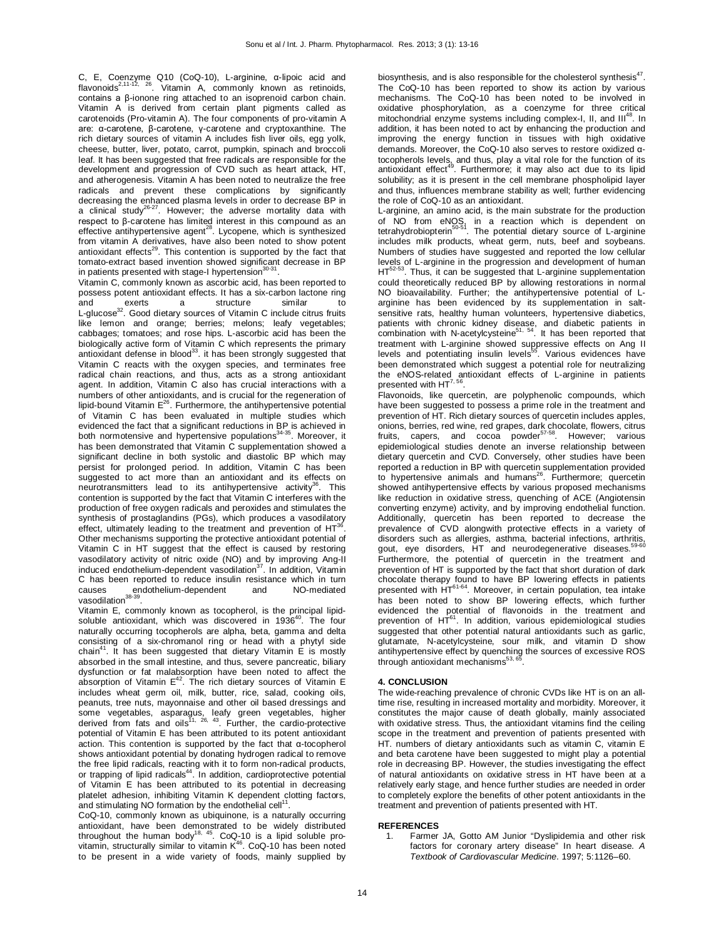C, E, Coenzyme Q10 (CoQ-10), L-arginine, α-lipoic acid and<br>flavonoids<sup>2,11-12, 26</sup>. Vitamin A, commonly known as retinoids, contains a β-ionone ring attached to an isoprenoid carbon chain. Vitamin A is derived from certain plant pigments called as carotenoids (Pro-vitamin A). The four components of pro-vitamin A are: α-carotene, β-carotene, γ-carotene and cryptoxanthine. The rich dietary sources of vitamin A includes fish liver oils, egg yolk, cheese, butter, liver, potato, carrot, pumpkin, spinach and broccoli leaf. It has been suggested that free radicals are responsible for the development and progression of CVD such as heart attack, HT, and atherogenesis. Vitamin A has been noted to neutralize the free radicals and prevent these complications by significantly decreasing the enhanced plasma levels in order to decrease BP in a clinical study<sup>26-27</sup>. However; the adverse mortality data with respect to β-carotene has limited interest in this compound as an<br>effective antihypertensive agent<sup>28</sup>. Lycopene, which is synthesized from vitamin A derivatives, have also been noted to show potent antioxidant effects<sup>29</sup>. This contention is supported by the fact that tomato-extract based invention showed significant decrease in BP in patients presented with stage-I hypertension<sup>30</sup> .

Vitamin C, commonly known as ascorbic acid, has been reported to possess potent antioxidant effects. It has a six-carbon lactone ring<br>and exerts a structure similar to and exerts a structure similar to<br>L-glucose<sup>32</sup>. Good dietary sources of Vitamin C include citrus fruits like lemon and orange; berries; melons; leafy vegetables; cabbages; tomatoes; and rose hips. L-ascorbic acid has been the biologically active form of Vitamin C which represents the primary antioxidant defense in blood $^{33}$ . it has been strongly suggested that Vitamin C reacts with the oxygen species, and terminates free radical chain reactions, and thus, acts as a strong antioxidant agent. In addition, Vitamin C also has crucial interactions with a numbers of other antioxidants, and is crucial for the regeneration of lipid-bound Vitamin E<sup>26</sup>. Furthermore, the antihypertensive potential of Vitamin C has been evaluated in multiple studies which evidenced the fact that a significant reductions in BP is achieved in<br>both normotensive and hypertensive populations<sup>34-35</sup>. Moreover, it has been demonstrated that Vitamin C supplementation showed a significant decline in both systolic and diastolic BP which may persist for prolonged period. In addition, Vitamin C has been suggested to act more than an antioxidant and its effects on neurotransmitters lead to its antihypertensive activity<sup>36</sup>. This contention is supported by the fact that Vitamin C interferes with the production of free oxygen radicals and peroxides and stimulates the synthesis of prostaglandins (PGs), which produces a vasodilatory effect, ultimately leading to the treatment and prevention of  $HT^{36}$ . Other mechanisms supporting the protective antioxidant potential of Vitamin C in HT suggest that the effect is caused by restoring vasodilatory activity of nitric oxide (NO) and by improving Ang-II<br>induced endothelium-dependent vasodilation<sup>37</sup>. In addition, Vitamin C has been reported to reduce insulin resistance which in turn causes endothelium-dependent and NO-mediated vasodilation<sup>38-39</sup>.

Vitamin E, commonly known as tocopherol, is the principal lipidsoluble antioxidant, which was discovered in 1936<sup>40</sup>. The four naturally occurring tocopherols are alpha, beta, gamma and delta consisting of a six-chromanol ring or head with a phytyl side chain<sup>41</sup>. It has been suggested that dietary Vitamin E is mostly absorbed in the small intestine, and thus, severe pancreatic, biliary dysfunction or fat malabsorption have been noted to affect the<br>absorption of Vitamin E<sup>42</sup>. The rich dietary sources of Vitamin E includes wheat germ oil, milk, butter, rice, salad, cooking oils, peanuts, tree nuts, mayonnaise and other oil based dressings and some vegetables, asparagus, leafy green vegetables, higher<br>derived from fats and oils<sup>11, 26, 43</sup>. Further, the cardio-protective potential of Vitamin E has been attributed to its potent antioxidant action. This contention is supported by the fact that α-tocopherol shows antioxidant potential by donating hydrogen radical to remove the free lipid radicals, reacting with it to form non-radical products,<br>or trapping of lipid radicals<sup>44</sup>. In addition, cardioprotective potential of Vitamin E has been attributed to its potential in decreasing platelet adhesion, inhibiting Vitamin K dependent clotting factors, and stimulating NO formation by the endothelial cell<sup>1</sup> .

CoQ-10, commonly known as ubiquinone, is a naturally occurring antioxidant, have been demonstrated to be widely distributed throughout the human body<sup>18, 45</sup>. CoQ-10 is a lipid soluble provitamin, structurally similar to vitamin  $K^{46}$ . CoQ-10 has been noted to be present in a wide variety of foods, mainly supplied by biosynthesis, and is also responsible for the cholesterol synthesis $47$ . The CoQ-10 has been reported to show its action by various mechanisms. The CoQ-10 has been noted to be involved in oxidative phosphorylation, as a coenzyme for three critical mitochondrial enzyme systems including complex-I, II, and III<sup>48</sup>. In addition, it has been noted to act by enhancing the production and improving the energy function in tissues with high oxidative demands. Moreover, the CoQ-10 also serves to restore oxidized αtocopherols levels, and thus, play a vital role for the function of its<br>antioxidant effect<sup>49</sup>. Furthermore; it may also act due to its lipid solubility; as it is present in the cell membrane phospholipid layer and thus, influences membrane stability as well; further evidencing the role of CoQ-10 as an antioxidant.

L-arginine, an amino acid, is the main substrate for the production of NO from eNOS, in a reaction which is dependent on<br>tetrahydrobiopterin<sup>50-51</sup>. The potential dietary source of L-arginine includes milk products, wheat germ, nuts, beef and soybeans. Numbers of studies have suggested and reported the low cellular levels of L-arginine in the progression and development of human  $HT<sup>52-53</sup>$  Thus it can be suggested that L-arginine supplementation  $3.$  Thus, it can be suggested that L-arginine supplementation could theoretically reduced BP by allowing restorations in normal NO bioavailability. Further; the antihypertensive potential of Larginine has been evidenced by its supplementation in saltsensitive rats, healthy human volunteers, hypertensive diabetics, patients with chronic kidney disease, and diabetic patients in<br>combination with N-acetylcysteine<sup>51, 54</sup>. It has been reported that treatment with L-arginine showed suppressive effects on Ang II<br>levels and potentiating insulin levels<sup>55</sup>. Various evidences have been demonstrated which suggest a potential role for neutralizing the eNOS-related antioxidant effects of L-arginine in patients<br>presented with HT<sup>7,56</sup>.

Flavonoids, like quercetin, are polyphenolic compounds, which have been suggested to possess a prime role in the treatment and prevention of HT. Rich dietary sources of quercetin includes apples, onions, berries, red wine, red grapes, dark chocolate, flowers, citrus<br>fruits, capers, and cocoa powder<sup>57-58</sup>. However; various epidemiological studies denote an inverse relationship between dietary quercetin and CVD. Conversely, other studies have been reported a reduction in BP with quercetin supplementation provided to hypertensive animals and humans<sup>26</sup>. Furthermore; quercetin showed antihypertensive effects by various proposed mechanisms like reduction in oxidative stress, quenching of ACE (Angiotensin converting enzyme) activity, and by improving endothelial function. Additionally, quercetin has been reported to decrease the prevalence of CVD alongwith protective effects in a variety of disorders such as allergies, asthma, bacterial infections, arthritis,<br>gout, eye disorders, HT and neurodegenerative diseases.<sup>59-60</sup> Furthermore, the potential of quercetin in the treatment and prevention of HT is supported by the fact that short duration of dark chocolate therapy found to have BP lowering effects in patients presented with HT<sup>61-64</sup>. Moreover, in certain population, tea intake has been noted to show BP lowering effects, which further evidenced the potential of flavonoids in the treatment and<br>prevention of HT<sup>61</sup>. In addition, various epidemiological studies suggested that other potential natural antioxidants such as garlic, glutamate, N-acetylcysteine, sour milk, and vitamin D show antihypertensive effect by quenching the sources of excessive ROS<br>through antioxidant mechanisms<sup>53,65</sup>.

### **4. CONCLUSION**

The wide-reaching prevalence of chronic CVDs like HT is on an alltime rise, resulting in increased mortality and morbidity. Moreover, it constitutes the major cause of death globally, mainly associated with oxidative stress. Thus, the antioxidant vitamins find the ceiling scope in the treatment and prevention of patients presented with HT. numbers of dietary antioxidants such as vitamin C, vitamin E and beta carotene have been suggested to might play a potential role in decreasing BP. However, the studies investigating the effect of natural antioxidants on oxidative stress in HT have been at a relatively early stage, and hence further studies are needed in order to completely explore the benefits of other potent antioxidants in the treatment and prevention of patients presented with HT.

### **REFERENCES**

1. Farmer JA, Gotto AM Junior "Dyslipidemia and other risk factors for coronary artery disease" In heart disease. *A Textbook of Cardiovascular Medicine*. 1997; 5:1126–60.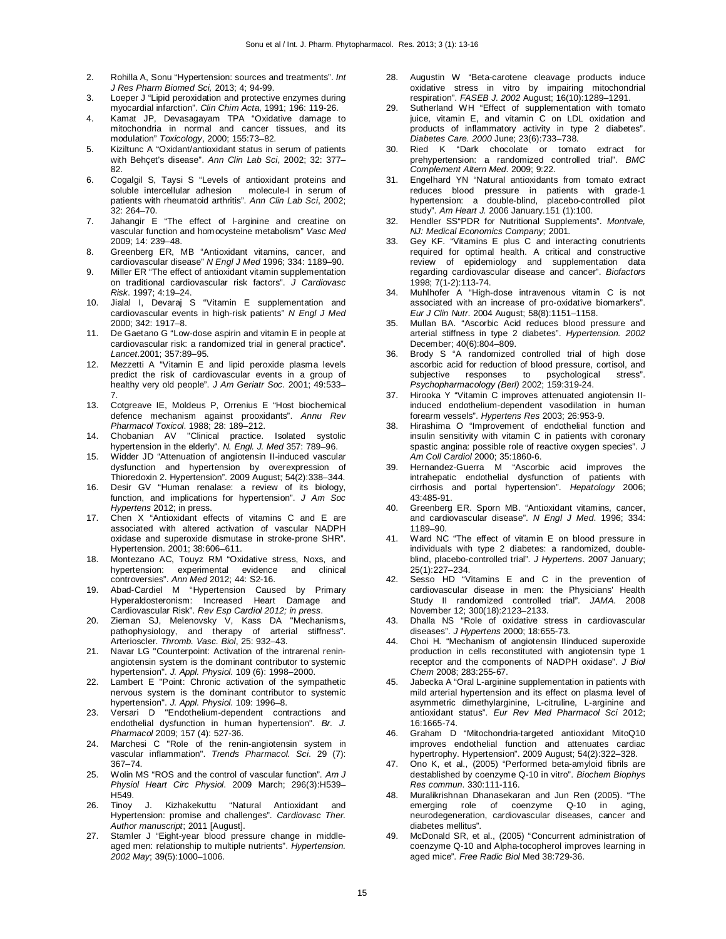- 2. Rohilla A, Sonu "Hypertension: sources and treatments". *Int J Res Pharm Biomed Sci,* 2013; 4; 94-99.
- 3. Loeper J "Lipid peroxidation and protective enzymes during myocardial infarction". *Clin Chim Acta,* 1991; 196: 119-26.
- 4. Kamat JP, Devasagayam TPA "Oxidative damage to mitochondria in normal and cancer tissues, and its modulation" *Toxicology*, 2000; 155:73–82.
- 5. Kiziltunc A "Oxidant/antioxidant status in serum of patients with Behçet's disease". *Ann Clin Lab Sci*, 2002; 32: 377– 82.
- 6. Cogalgil S, Taysi S "Levels of antioxidant proteins and soluble intercellular adhesion molecule-I in serum of patients with rheumatoid arthritis". *Ann Clin Lab Sci*, 2002; 32: 264–70.
- 7. Jahangir E "The effect of l-arginine and creatine on vascular function and homocysteine metabolism" *Vasc Med* 2009; 14: 239–48.
- 8. Greenberg ER, MB "Antioxidant vitamins, cancer, and cardiovascular disease" *N Engl J Med* 1996; 334: 1189–90.
- 9. Miller ER "The effect of antioxidant vitamin supplementation on traditional cardiovascular risk factors". *J Cardiovasc Risk*. 1997; 4:19–24.
- 10. Jialal I, Devaraj S "Vitamin E supplementation and cardiovascular events in high-risk patients" *N Engl J Med* 2000; 342: 1917–8.
- 11. De Gaetano G "Low-dose aspirin and vitamin E in people at cardiovascular risk: a randomized trial in general practice". *Lancet*.2001; 357:89–95.
- 12. Mezzetti A "Vitamin E and lipid peroxide plasma levels predict the risk of cardiovascular events in a group of healthy very old people". *J Am Geriatr Soc*. 2001; 49:533– 7.
- 13. Cotgreave IE, Moldeus P, Orrenius E "Host biochemical defence mechanism against prooxidants". *Annu Rev Pharmacol Toxicol*. 1988; 28: 189–212.
- 14. Chobanian AV "Clinical practice. Isolated systolic hypertension in the elderly". *N. Engl. J. Med* 357: 789–96.
- 15. Widder JD "Attenuation of angiotensin II-induced vascular dysfunction and hypertension by overexpression of Thioredoxin 2. Hypertension". 2009 August; 54(2):338–344.
- 16. Desir GV "Human renalase: a review of its biology, function, and implications for hypertension". *J Am Soc Hypertens* 2012; in press.
- 17. Chen X "Antioxidant effects of vitamins C and E are associated with altered activation of vascular NADPH oxidase and superoxide dismutase in stroke-prone SHR". Hypertension. 2001; 38:606–611.
- 18. Montezano AC, Touyz RM "Oxidative stress, Noxs, and hypertension: experimental evidence and clinical controversies". *Ann Med* 2012; 44: S2-16.
- 19. Abad-Cardiel M "Hypertension Caused by Primary Hyperaldosteronism: Increased Heart Damage and Cardiovascular Risk". *Rev Esp Cardiol 2012; in press*.
- 20. Zieman SJ, Melenovsky V, Kass DA "Mechanisms, pathophysiology, and therapy of arterial stiffness". Arterioscler. *Thromb. Vasc. Biol*, 25: 932–43.
- 21. Navar LG "Counterpoint: Activation of the intrarenal reninangiotensin system is the dominant contributor to systemic hypertension". *J. Appl. Physiol*. 109 (6): 1998–2000.
- 22. Lambert E "Point: Chronic activation of the sympathetic nervous system is the dominant contributor to systemic hypertension". *J. Appl. Physiol*. 109: 1996–8.
- 23. Versari D "Endothelium-dependent contractions and endothelial dysfunction in human hypertension". *Br. J. Pharmacol* 2009; 157 (4): 527-36.
- 24. Marchesi C "Role of the renin-angiotensin system in vascular inflammation". *Trends Pharmacol. Sci*. 29 (7): 367–74.
- 25. Wolin MS "ROS and the control of vascular function". *Am J Physiol Heart Circ Physiol*. 2009 March; 296(3):H539– H549.
- 26. Tinoy J. Kizhakekuttu "Natural Antioxidant and Hypertension: promise and challenges". *Cardiovasc Ther. Author manuscript*; 2011 [August].
- 27. Stamler J "Eight-year blood pressure change in middleaged men: relationship to multiple nutrients". *Hypertension. 2002 May*; 39(5):1000–1006.
- 28. Augustin W "Beta-carotene cleavage products induce oxidative stress in vitro by impairing mitochondrial respiration". *FASEB J. 2002* August; 16(10):1289–1291.
- 29. Sutherland WH "Effect of supplementation with tomato juice, vitamin E, and vitamin C on LDL oxidation and products of inflammatory activity in type 2 diabetes". *Diabetes Care. 2000* June; 23(6):733–738.
- 30. Ried K "Dark chocolate or tomato extract for prehypertension: a randomized controlled trial". *BMC Complement Altern Med*. 2009; 9:22.
- 31. Engelhard YN "Natural antioxidants from tomato extract reduces blood pressure in patients with grade-1 hypertension: a double-blind, placebo-controlled pilot study". *Am Heart J.* 2006 January.151 (1):100.
- 32. Hendler SS"PDR for Nutritional Supplements". *Montvale, NJ: Medical Economics Company;* 2001.
- 33. Gey KF. "Vitamins E plus C and interacting conutrients required for optimal health. A critical and constructive review of epidemiology and supplementation data regarding cardiovascular disease and cancer". *Biofactors*  1998; 7(1-2):113-74.
- 34. Muhlhofer A "High-dose intravenous vitamin C is not associated with an increase of pro-oxidative biomarkers". *Eur J Clin Nutr*. 2004 August; 58(8):1151–1158.
- 35. Mullan BA. "Ascorbic Acid reduces blood pressure and arterial stiffness in type 2 diabetes". *Hypertension. 2002* December; 40(6):804–809.
- 36. Brody S "A randomized controlled trial of high dose ascorbic acid for reduction of blood pressure, cortisol, and subjective responses to psychological stress". *Psychopharmacology (Berl)* 2002; 159:319-24.
- 37. Hirooka Y "Vitamin C improves attenuated angiotensin IIinduced endothelium-dependent vasodilation in human forearm vessels". *Hypertens Res* 2003; 26:953-9.
- 38. Hirashima O "Improvement of endothelial function and insulin sensitivity with vitamin C in patients with coronary spastic angina: possible role of reactive oxygen species". *J Am Coll Cardiol* 2000; 35:1860-6.
- 39. Hernandez-Guerra M "Ascorbic acid improves the intrahepatic endothelial dysfunction of patients with cirrhosis and portal hypertension". *Hepatology* 2006; 43:485-91.
- 40. Greenberg ER. Sporn MB. "Antioxidant vitamins, cancer, and cardiovascular disease". *N Engl J Med*. 1996; 334: 1189–90.
- 41. Ward NC "The effect of vitamin E on blood pressure in individuals with type 2 diabetes: a randomized, doubleblind, placebo-controlled trial". *J Hypertens*. 2007 January; 25(1):227–234.
- 42. Sesso HD "Vitamins E and C in the prevention of cardiovascular disease in men: the Physicians' Health Study II randomized controlled trial". *JAMA*. 2008 November 12; 300(18):2123–2133.
- 43. Dhalla NS "Role of oxidative stress in cardiovascular diseases". *J Hypertens* 2000; 18:655-73.
- 44. Choi H. "Mechanism of angiotensin IIinduced superoxide production in cells reconstituted with angiotensin type 1 receptor and the components of NADPH oxidase". *J Biol Chem* 2008; 283:255-67.
- 45. Jabecka A "Oral L-arginine supplementation in patients with mild arterial hypertension and its effect on plasma level of asymmetric dimethylarginine, L-citruline, L-arginine and antioxidant status". *Eur Rev Med Pharmacol Sci* 2012; 16:1665-74.
- 46. Graham D "Mitochondria-targeted antioxidant MitoQ10 improves endothelial function and attenuates cardiac hypertrophy. Hypertension". 2009 August; 54(2):322–328.
- 47. Ono K, et al., (2005) "Performed beta-amyloid fibrils are destablished by coenzyme Q-10 in vitro". *Biochem Biophys Res commun*. 330:111-116.
- 48. Muralikrishnan Dhanasekaran and Jun Ren (2005). "The emerging role of coenzyme Q-10 in aging, neurodegeneration, cardiovascular diseases, cancer and diabetes mellitus".
- 49. McDonald SR, et al., (2005) "Concurrent administration of coenzyme Q-10 and Alpha-tocopherol improves learning in aged mice". *Free Radic Biol* Med 38:729-36.